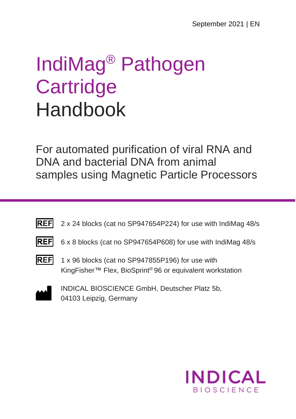# IndiMag® Pathogen **Cartridge** Handbook

For automated purification of viral RNA and DNA and bacterial DNA from animal samples using Magnetic Particle Processors

- **REF** 2 x 24 blocks (cat no SP947654P224) for use with IndiMag 48/s
- 
- REF 6 x 8 blocks (cat no SP947654P608) for use with IndiMag 48/s
- 
- REF 1 x 96 blocks (cat no SP947855P196) for use with KingFisher™ Flex, BioSprint® 96 or equivalent workstation



INDICAL BIOSCIENCE GmbH, Deutscher Platz 5b, 04103 Leipzig, Germany

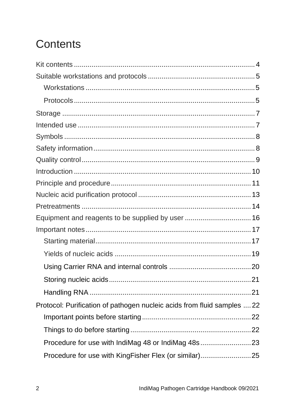# Contents

| Equipment and reagents to be supplied by user  16                       |  |
|-------------------------------------------------------------------------|--|
|                                                                         |  |
|                                                                         |  |
|                                                                         |  |
|                                                                         |  |
|                                                                         |  |
|                                                                         |  |
| Protocol: Purification of pathogen nucleic acids from fluid samples  22 |  |
|                                                                         |  |
|                                                                         |  |
| Procedure for use with IndiMag 48 or IndiMag 48s23                      |  |
| Procedure for use with KingFisher Flex (or similar)25                   |  |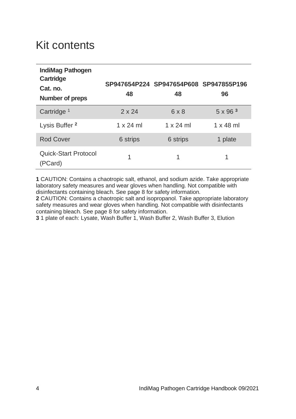# Kit contents

| IndiMag Pathogen<br>Cartridge<br>Cat. no.<br>Number of preps | 48               | SP947654P224 SP947654P608 SP947855P196<br>48 | 96                |
|--------------------------------------------------------------|------------------|----------------------------------------------|-------------------|
| Cartridge <sup>1</sup>                                       | $2 \times 24$    | $6 \times 8$                                 | $5 \times 96^{3}$ |
| Lysis Buffer <sup>2</sup>                                    | $1 \times 24$ ml | $1 \times 24$ ml                             | $1 \times 48$ ml  |
| Rod Cover                                                    | 6 strips         | 6 strips                                     | 1 plate           |
| Quick-Start Protocol<br>(PCard)                              | 1                | 1                                            | 1                 |

**1** CAUTION: Contains a chaotropic salt, ethanol, and sodium azide. Take appropriate laboratory safety measures and wear gloves when handling. Not compatible with disinfectants containing bleach. See page 8 for safety information.

**2** CAUTION: Contains a chaotropic salt and isopropanol. Take appropriate laboratory safety measures and wear gloves when handling. Not compatible with disinfectants containing bleach. See page 8 for safety information.

**3** 1 plate of each: Lysate, Wash Buffer 1, Wash Buffer 2, Wash Buffer 3, Elution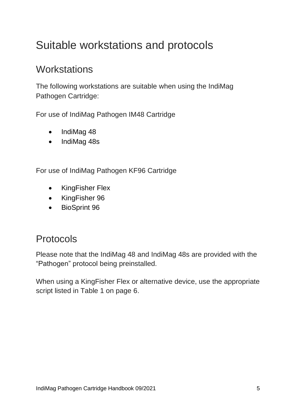# Suitable workstations and protocols

### **Workstations**

The following workstations are suitable when using the IndiMag Pathogen Cartridge:

For use of IndiMag Pathogen IM48 Cartridge

- IndiMag 48
- IndiMag 48s

For use of IndiMag Pathogen KF96 Cartridge

- KingFisher Flex
- KingFisher 96
- BioSprint 96

### Protocols

Please note that the IndiMag 48 and IndiMag 48s are provided with the "Pathogen" protocol being preinstalled.

When using a KingFisher Flex or alternative device, use the appropriate script listed in Table 1 on page 6.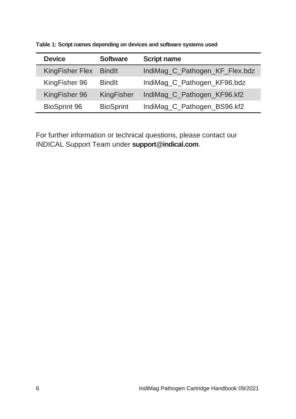| <b>Device</b>          | <b>Software</b>  | <b>Script name</b>             |
|------------------------|------------------|--------------------------------|
| <b>KingFisher Flex</b> | <b>Bindlt</b>    | IndiMag_C_Pathogen_KF_Flex.bdz |
| KingFisher 96          | <b>Bindlt</b>    | IndiMag_C_Pathogen_KF96.bdz    |
| KingFisher 96          | KingFisher       | IndiMag_C_Pathogen_KF96.kf2    |
| BioSprint 96           | <b>BioSprint</b> | IndiMag_C_Pathogen_BS96.kf2    |

**Table 1: Script names depending on devices and software systems used**

For further information or technical questions, please contact our INDICAL Support Team under **support@indical.com**.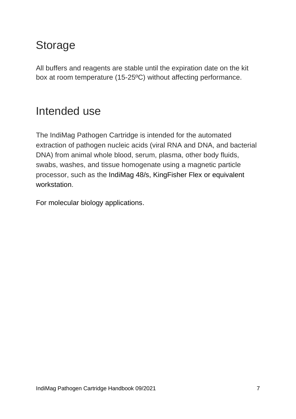# Storage

All buffers and reagents are stable until the expiration date on the kit box at room temperature (15-25ºC) without affecting performance.

## Intended use

The IndiMag Pathogen Cartridge is intended for the automated extraction of pathogen nucleic acids (viral RNA and DNA, and bacterial DNA) from animal whole blood, serum, plasma, other body fluids, swabs, washes, and tissue homogenate using a magnetic particle processor, such as the IndiMag 48/s, KingFisher Flex or equivalent workstation.

For molecular biology applications.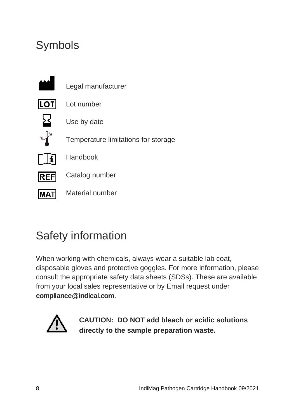# Symbols



# Safety information

When working with chemicals, always wear a suitable lab coat, disposable gloves and protective goggles. For more information, please consult the appropriate safety data sheets (SDSs). These are available from your local sales representative or by Email request under **[compliance@indical.com](mailto:compliance@indical.com)**.



**CAUTION: DO NOT add bleach or acidic solutions directly to the sample preparation waste.**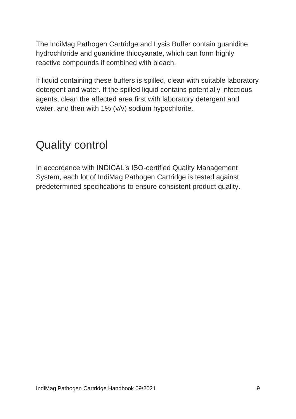The IndiMag Pathogen Cartridge and Lysis Buffer contain guanidine hydrochloride and guanidine thiocyanate, which can form highly reactive compounds if combined with bleach.

If liquid containing these buffers is spilled, clean with suitable laboratory detergent and water. If the spilled liquid contains potentially infectious agents, clean the affected area first with laboratory detergent and water, and then with 1% (v/v) sodium hypochlorite.

### Quality control

In accordance with INDICAL's ISO-certified Quality Management System, each lot of IndiMag Pathogen Cartridge is tested against predetermined specifications to ensure consistent product quality.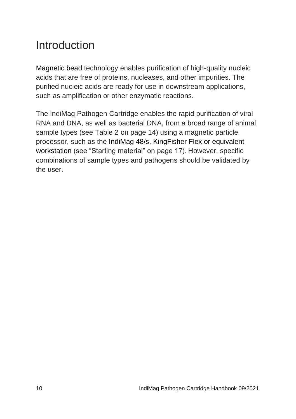# Introduction

Magnetic bead technology enables purification of high-quality nucleic acids that are free of proteins, nucleases, and other impurities. The purified nucleic acids are ready for use in downstream applications, such as amplification or other enzymatic reactions.

The IndiMag Pathogen Cartridge enables the rapid purification of viral RNA and DNA, as well as bacterial DNA, from a broad range of animal sample types (see Table 2 on page 14) using a magnetic particle processor, such as the IndiMag 48/s, KingFisher Flex or equivalent workstation (see "Starting material" on page 17). However, specific combinations of sample types and pathogens should be validated by the user.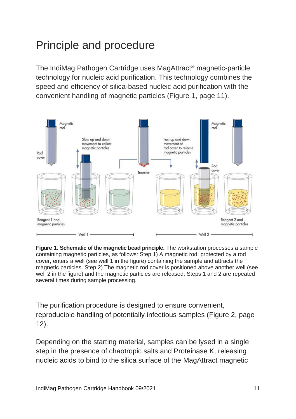# Principle and procedure

The IndiMag Pathogen Cartridge uses MagAttract® magnetic-particle technology for nucleic acid purification. This technology combines the speed and efficiency of silica-based nucleic acid purification with the convenient handling of magnetic particles (Figure 1, page 11).



**Figure 1. Schematic of the magnetic bead principle.** The workstation processes a sample containing magnetic particles, as follows: Step 1) A magnetic rod, protected by a rod cover, enters a well (see well 1 in the figure) containing the sample and attracts the magnetic particles. Step 2) The magnetic rod cover is positioned above another well (see well 2 in the figure) and the magnetic particles are released. Steps 1 and 2 are repeated several times during sample processing.

The purification procedure is designed to ensure convenient, reproducible handling of potentially infectious samples (Figure 2, page 12).

Depending on the starting material, samples can be lysed in a single step in the presence of chaotropic salts and Proteinase K, releasing nucleic acids to bind to the silica surface of the MagAttract magnetic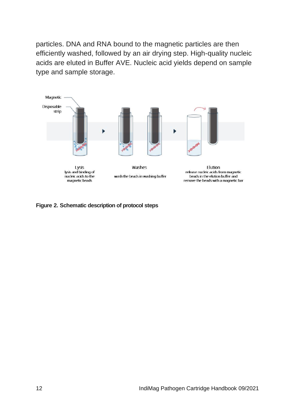particles. DNA and RNA bound to the magnetic particles are then efficiently washed, followed by an air drying step. High-quality nucleic acids are eluted in Buffer AVE. Nucleic acid yields depend on sample type and sample storage.



**Figure 2. Schematic description of protocol steps**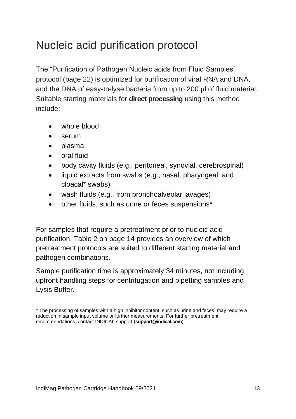# Nucleic acid purification protocol

The "Purification of Pathogen Nucleic acids from Fluid Samples" protocol (page 22) is optimized for purification of viral RNA and DNA, and the DNA of easy-to-lyse bacteria from up to 200 μl of fluid material. Suitable starting materials for **direct processing** using this method include:

- whole blood
- serum
- plasma
- oral fluid
- body cavity fluids (e.g., peritoneal, synovial, cerebrospinal)
- liquid extracts from swabs (e.g., nasal, pharyngeal, and cloacal\* swabs)
- wash fluids (e.g., from bronchoalveolar lavages)
- other fluids, such as urine or feces suspensions\*

For samples that require a pretreatment prior to nucleic acid purification, Table 2 on page 14 provides an overview of which pretreatment protocols are suited to different starting material and pathogen combinations.

Sample purification time is approximately 34 minutes, not including upfront handling steps for centrifugation and pipetting samples and Lysis Buffer.

<sup>\*</sup> The processing of samples with a high inhibitor content, such as urine and feces, may require a reduction in sample input volume or further measurements. For further pretreatment recommendations, contact INDICAL support (**support@indical.com**).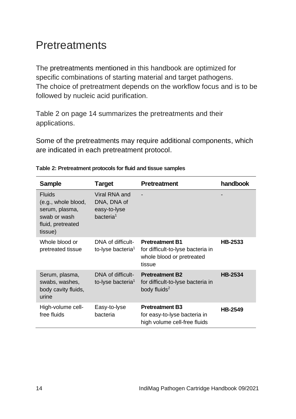# Pretreatments

The pretreatments mentioned in this handbook are optimized for specific combinations of starting material and target pathogens. The choice of pretreatment depends on the workflow focus and is to be followed by nucleic acid purification.

Table 2 on page 14 summarizes the pretreatments and their applications.

Some of the pretreatments may require additional components, which are indicated in each pretreatment protocol.

| <b>Sample</b>                                                                                          | <b>Target</b>                                                         | Pretreatment                                                                                       | handbook       |
|--------------------------------------------------------------------------------------------------------|-----------------------------------------------------------------------|----------------------------------------------------------------------------------------------------|----------------|
| <b>Fluids</b><br>(e.g., whole blood,<br>serum, plasma,<br>swab or wash<br>fluid, pretreated<br>tissue) | Viral RNA and<br>DNA, DNA of<br>easy-to-lyse<br>bacteria <sup>1</sup> |                                                                                                    |                |
| Whole blood or<br>pretreated tissue                                                                    | DNA of difficult-<br>to-lyse bacteria <sup>1</sup>                    | <b>Pretreatment B1</b><br>for difficult-to-lyse bacteria in<br>whole blood or pretreated<br>tissue | HB-2533        |
| Serum, plasma,<br>swabs, washes,<br>body cavity fluids,<br>urine                                       | DNA of difficult-<br>to-lyse bacteria <sup>1</sup>                    | <b>Pretreatment B2</b><br>for difficult-to-lyse bacteria in<br>body fluids <sup>2</sup>            | <b>HB-2534</b> |
| High-volume cell-<br>free fluids                                                                       | Easy-to-lyse<br>bacteria                                              | <b>Pretreatment B3</b><br>for easy-to-lyse bacteria in<br>high volume cell-free fluids             | <b>HB-2549</b> |

#### **Table 2: Pretreatment protocols for fluid and tissue samples**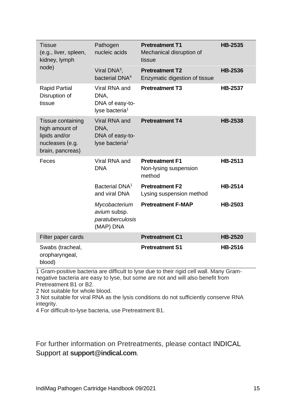| Tissue<br>(e.g., liver, spleen,<br>kidney, lymph                                            | Pathogen<br>nucleic acids                                              | <b>Pretreatment T1</b><br>Mechanical disruption of<br>tissue | <b>HB-2535</b> |
|---------------------------------------------------------------------------------------------|------------------------------------------------------------------------|--------------------------------------------------------------|----------------|
| node)                                                                                       | Viral $DNA^3$ ,<br>bacterial DNA <sup>4</sup>                          | <b>Pretreatment T2</b><br>Enzymatic digestion of tissue      | HB-2536        |
| <b>Rapid Partial</b><br>Disruption of<br>tissue                                             | Viral RNA and<br>DNA.<br>DNA of easy-to-<br>lyse bacteria <sup>1</sup> | <b>Pretreatment T3</b>                                       | <b>HB-2537</b> |
| Tissue containing<br>high amount of<br>lipids and/or<br>nucleases (e.g.<br>brain, pancreas) | Viral RNA and<br>DNA.<br>DNA of easy-to-<br>lyse bacteria <sup>1</sup> | <b>Pretreatment T4</b>                                       | <b>HB-2538</b> |
| Feces                                                                                       | Viral RNA and<br><b>DNA</b>                                            | <b>Pretreatment F1</b><br>Non-lysing suspension<br>method    | HB-2513        |
|                                                                                             | Bacterial DNA <sup>1</sup><br>and viral DNA                            | <b>Pretreatment F2</b><br>Lysing suspension method           | HB-2514        |
|                                                                                             | Mycobacterium<br>avium subsp.<br>paratuberculosis<br>(MAP) DNA         | <b>Pretreatment F-MAP</b>                                    | HB-2503        |
| Filter paper cards                                                                          |                                                                        | <b>Pretreatment C1</b>                                       | <b>HB-2520</b> |
| Swabs (tracheal,<br>oropharyngeal,<br>blood)                                                |                                                                        | <b>Pretreatment S1</b>                                       | HB-2516        |

1 Gram-positive bacteria are difficult to lyse due to their rigid cell wall. Many Gramnegative bacteria are easy to lyse, but some are not and will also benefit from Pretreatment B1 or B2.

2 Not suitable for whole blood.

3 Not suitable for viral RNA as the lysis conditions do not sufficiently conserve RNA integrity.

4 For difficult-to-lyse bacteria, use Pretreatment B1.

For further information on Pretreatments, please contact INDICAL Support at **support@indical.com**.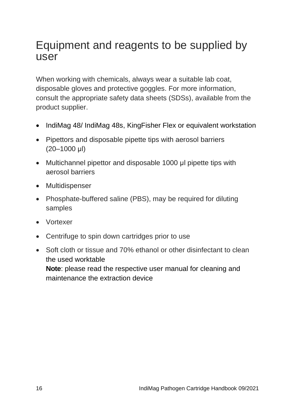### Equipment and reagents to be supplied by user

When working with chemicals, always wear a suitable lab coat, disposable gloves and protective goggles. For more information, consult the appropriate safety data sheets (SDSs), available from the product supplier.

- IndiMag 48/ IndiMag 48s, KingFisher Flex or equivalent workstation
- Pipettors and disposable pipette tips with aerosol barriers (20–1000 μl)
- Multichannel pipettor and disposable 1000 μl pipette tips with aerosol barriers
- Multidispenser
- Phosphate-buffered saline (PBS), may be required for diluting samples
- Vortexer
- Centrifuge to spin down cartridges prior to use
- Soft cloth or tissue and 70% ethanol or other disinfectant to clean the used worktable

**Note**: please read the respective user manual for cleaning and maintenance the extraction device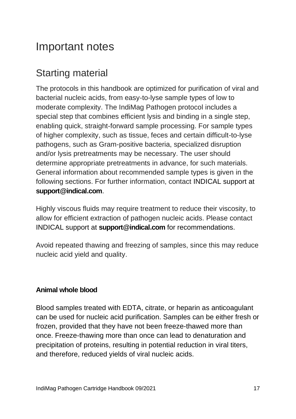# Important notes

### Starting material

The protocols in this handbook are optimized for purification of viral and bacterial nucleic acids, from easy-to-lyse sample types of low to moderate complexity. The IndiMag Pathogen protocol includes a special step that combines efficient lysis and binding in a single step, enabling quick, straight-forward sample processing. For sample types of higher complexity, such as tissue, feces and certain difficult-to-lyse pathogens, such as Gram-positive bacteria, specialized disruption and/or lysis pretreatments may be necessary. The user should determine appropriate pretreatments in advance, for such materials. General information about recommended sample types is given in the following sections. For further information, contact INDICAL support at **support@indical.com**.

Highly viscous fluids may require treatment to reduce their viscosity, to allow for efficient extraction of pathogen nucleic acids. Please contact INDICAL support at **support@indical.com** for recommendations.

Avoid repeated thawing and freezing of samples, since this may reduce nucleic acid yield and quality.

#### **Animal whole blood**

Blood samples treated with EDTA, citrate, or heparin as anticoagulant can be used for nucleic acid purification. Samples can be either fresh or frozen, provided that they have not been freeze-thawed more than once. Freeze-thawing more than once can lead to denaturation and precipitation of proteins, resulting in potential reduction in viral titers, and therefore, reduced yields of viral nucleic acids.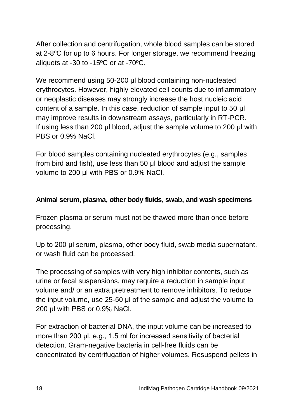After collection and centrifugation, whole blood samples can be stored at 2-8ºC for up to 6 hours. For longer storage, we recommend freezing aliquots at -30 to -15ºC or at -70ºC.

We recommend using 50-200 μl blood containing non-nucleated erythrocytes. However, highly elevated cell counts due to inflammatory or neoplastic diseases may strongly increase the host nucleic acid content of a sample. In this case, reduction of sample input to 50 μl may improve results in downstream assays, particularly in RT-PCR. If using less than 200 μl blood, adjust the sample volume to 200 μl with PBS or 0.9% NaCl.

For blood samples containing nucleated erythrocytes (e.g., samples from bird and fish), use less than 50 μl blood and adjust the sample volume to 200 μl with PBS or 0.9% NaCl.

#### **Animal serum, plasma, other body fluids, swab, and wash specimens**

Frozen plasma or serum must not be thawed more than once before processing.

Up to 200 μl serum, plasma, other body fluid, swab media supernatant, or wash fluid can be processed.

The processing of samples with very high inhibitor contents, such as urine or fecal suspensions, may require a reduction in sample input volume and/ or an extra pretreatment to remove inhibitors. To reduce the input volume, use 25-50 μl of the sample and adjust the volume to 200 μl with PBS or 0.9% NaCl.

For extraction of bacterial DNA, the input volume can be increased to more than 200 μl, e.g., 1.5 ml for increased sensitivity of bacterial detection. Gram-negative bacteria in cell-free fluids can be concentrated by centrifugation of higher volumes. Resuspend pellets in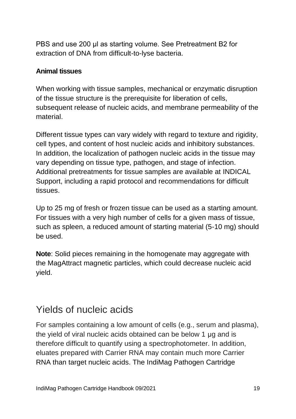PBS and use 200 μl as starting volume. See Pretreatment B2 for extraction of DNA from difficult-to-lyse bacteria.

#### **Animal tissues**

When working with tissue samples, mechanical or enzymatic disruption of the tissue structure is the prerequisite for liberation of cells, subsequent release of nucleic acids, and membrane permeability of the material.

Different tissue types can vary widely with regard to texture and rigidity, cell types, and content of host nucleic acids and inhibitory substances. In addition, the localization of pathogen nucleic acids in the tissue may vary depending on tissue type, pathogen, and stage of infection. Additional pretreatments for tissue samples are available at INDICAL Support, including a rapid protocol and recommendations for difficult tissues.

Up to 25 mg of fresh or frozen tissue can be used as a starting amount. For tissues with a very high number of cells for a given mass of tissue, such as spleen, a reduced amount of starting material (5-10 mg) should be used.

**Note**: Solid pieces remaining in the homogenate may aggregate with the MagAttract magnetic particles, which could decrease nucleic acid yield.

### Yields of nucleic acids

For samples containing a low amount of cells (e.g., serum and plasma), the yield of viral nucleic acids obtained can be below 1 μg and is therefore difficult to quantify using a spectrophotometer. In addition, eluates prepared with Carrier RNA may contain much more Carrier RNA than target nucleic acids. The IndiMag Pathogen Cartridge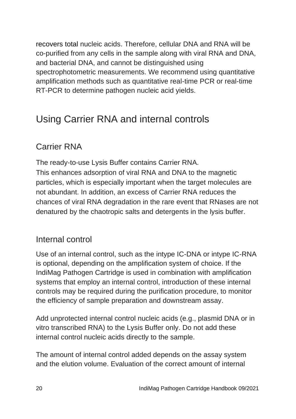recovers total nucleic acids. Therefore, cellular DNA and RNA will be co-purified from any cells in the sample along with viral RNA and DNA, and bacterial DNA, and cannot be distinguished using spectrophotometric measurements. We recommend using quantitative amplification methods such as quantitative real-time PCR or real-time RT-PCR to determine pathogen nucleic acid yields.

### Using Carrier RNA and internal controls

### Carrier RNA

The ready-to-use Lysis Buffer contains Carrier RNA. This enhances adsorption of viral RNA and DNA to the magnetic particles, which is especially important when the target molecules are not abundant. In addition, an excess of Carrier RNA reduces the chances of viral RNA degradation in the rare event that RNases are not denatured by the chaotropic salts and detergents in the lysis buffer.

#### Internal control

Use of an internal control, such as the intype IC-DNA or intype IC-RNA is optional, depending on the amplification system of choice. If the IndiMag Pathogen Cartridge is used in combination with amplification systems that employ an internal control, introduction of these internal controls may be required during the purification procedure, to monitor the efficiency of sample preparation and downstream assay.

Add unprotected internal control nucleic acids (e.g., plasmid DNA or in vitro transcribed RNA) to the Lysis Buffer only. Do not add these internal control nucleic acids directly to the sample.

The amount of internal control added depends on the assay system and the elution volume. Evaluation of the correct amount of internal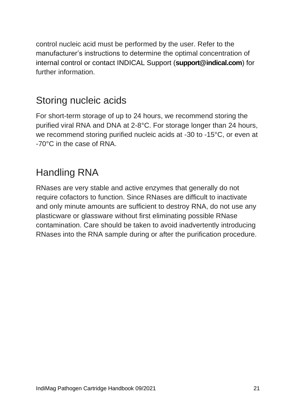control nucleic acid must be performed by the user. Refer to the manufacturer's instructions to determine the optimal concentration of internal control or contact INDICAL Support (**support@indical.com**) for further information.

### Storing nucleic acids

For short-term storage of up to 24 hours, we recommend storing the purified viral RNA and DNA at 2-8°C. For storage longer than 24 hours, we recommend storing purified nucleic acids at -30 to -15°C, or even at -70°C in the case of RNA.

### Handling RNA

RNases are very stable and active enzymes that generally do not require cofactors to function. Since RNases are difficult to inactivate and only minute amounts are sufficient to destroy RNA, do not use any plasticware or glassware without first eliminating possible RNase contamination. Care should be taken to avoid inadvertently introducing RNases into the RNA sample during or after the purification procedure.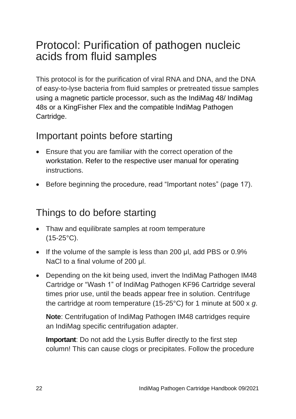## Protocol: Purification of pathogen nucleic acids from fluid samples

This protocol is for the purification of viral RNA and DNA, and the DNA of easy-to-lyse bacteria from fluid samples or pretreated tissue samples using a magnetic particle processor, such as the IndiMag 48/ IndiMag 48s or a KingFisher Flex and the compatible IndiMag Pathogen Cartridge.

### Important points before starting

- Ensure that you are familiar with the correct operation of the workstation. Refer to the respective user manual for operating instructions.
- Before beginning the procedure, read "Important notes" (page 17).

### Things to do before starting

- Thaw and equilibrate samples at room temperature (15-25°C).
- If the volume of the sample is less than 200 μl, add PBS or 0.9% NaCl to a final volume of 200 μl.
- Depending on the kit being used, invert the IndiMag Pathogen IM48 Cartridge or "Wash 1" of IndiMag Pathogen KF96 Cartridge several times prior use, until the beads appear free in solution. Centrifuge the cartridge at room temperature (15-25°C) for 1 minute at 500 x *g*.

**Note**: Centrifugation of IndiMag Pathogen IM48 cartridges require an IndiMag specific centrifugation adapter.

**Important**: Do not add the Lysis Buffer directly to the first step column! This can cause clogs or precipitates. Follow the procedure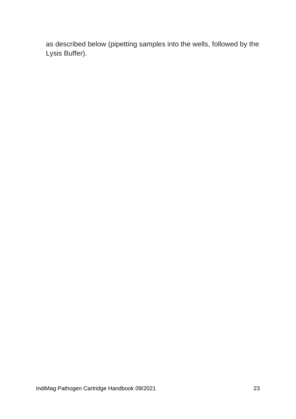as described below (pipetting samples into the wells, followed by the Lysis Buffer).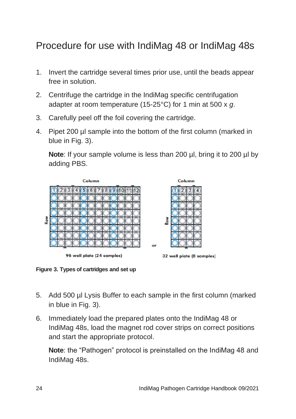### Procedure for use with IndiMag 48 or IndiMag 48s

- 1. Invert the cartridge several times prior use, until the beads appear free in solution.
- 2. Centrifuge the cartridge in the IndiMag specific centrifugation adapter at room temperature (15-25°C) for 1 min at 500 x *g*.
- 3. Carefully peel off the foil covering the cartridge.
- 4. Pipet 200 µl sample into the bottom of the first column (marked in blue in Fig. 3).

**Note**: If your sample volume is less than 200 µl, bring it to 200 µl by adding PBS.



**Figure 3. Types of cartridges and set up**

- 5. Add 500 µl Lysis Buffer to each sample in the first column (marked in blue in Fig. 3).
- 6. Immediately load the prepared plates onto the IndiMag 48 or IndiMag 48s, load the magnet rod cover strips on correct positions and start the appropriate protocol.

**Note**: the "Pathogen" protocol is preinstalled on the IndiMag 48 and IndiMag 48s.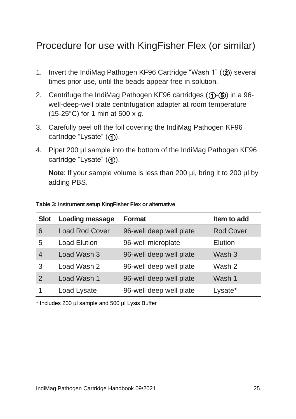### Procedure for use with KingFisher Flex (or similar)

- 1. Invert the IndiMag Pathogen KF96 Cartridge "Wash 1"  $(2)$ ) several times prior use, until the beads appear free in solution.
- 2. Centrifuge the IndiMag Pathogen KF96 cartridges  $(1)$ - $(6)$ ) in a 96well-deep-well plate centrifugation adapter at room temperature (15-25°C) for 1 min at 500 x *g*.
- 3. Carefully peel off the foil covering the IndiMag Pathogen KF96 cartridge "Lysate"  $( \bigcap )$ .
- 4. Pipet 200 µl sample into the bottom of the IndiMag Pathogen KF96 cartridge "Lysate"  $($  $)$ ).

**Note**: If your sample volume is less than 200 µl, bring it to 200 µl by adding PBS.

| <b>Slot</b>   | <b>Loading message</b> | Format                  | Item to add |
|---------------|------------------------|-------------------------|-------------|
| 6             | Load Rod Cover         | 96-well deep well plate | Rod Cover   |
| 5             | Load Elution           | 96-well microplate      | Elution     |
| 4             | Load Wash 3            | 96-well deep well plate | Wash 3      |
| 3             | Load Wash 2            | 96-well deep well plate | Wash 2      |
| $\mathcal{P}$ | Load Wash 1            | 96-well deep well plate | Wash 1      |
|               | Load Lysate            | 96-well deep well plate | Lysate*     |

**Table 3: Instrument setup KingFisher Flex or alternative**

\* Includes 200 µl sample and 500 µl Lysis Buffer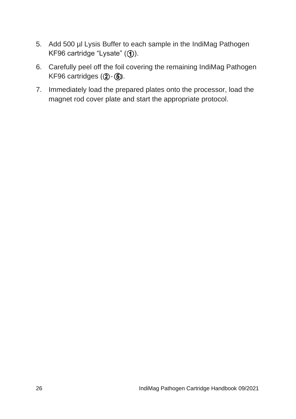- 5. Add 500 µl Lysis Buffer to each sample in the IndiMag Pathogen KF96 cartridge "Lysate"  $(①)$ .
- 6. Carefully peel off the foil covering the remaining IndiMag Pathogen KF96 cartridges  $(2)$ - $(5)$ .
- 7. Immediately load the prepared plates onto the processor, load the magnet rod cover plate and start the appropriate protocol.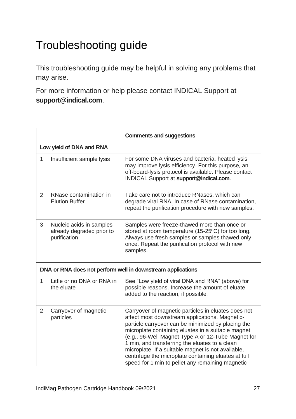# Troubleshooting guide

This troubleshooting guide may be helpful in solving any problems that may arise.

For more information or help please contact INDICAL Support at **support@indical.com**.

|                |                                                                       | <b>Comments and suggestions</b>                                                                                                                                                                                                                                                                                                                                                                                                                                                             |
|----------------|-----------------------------------------------------------------------|---------------------------------------------------------------------------------------------------------------------------------------------------------------------------------------------------------------------------------------------------------------------------------------------------------------------------------------------------------------------------------------------------------------------------------------------------------------------------------------------|
|                | Low yield of DNA and RNA                                              |                                                                                                                                                                                                                                                                                                                                                                                                                                                                                             |
| 1              | Insufficient sample lysis                                             | For some DNA viruses and bacteria, heated lysis<br>may improve lysis efficiency. For this purpose, an<br>off-board-lysis protocol is available. Please contact<br>INDICAL Support at support@indical.com.                                                                                                                                                                                                                                                                                   |
| $\mathcal{P}$  | RNase contamination in<br><b>Elution Buffer</b>                       | Take care not to introduce RNases, which can<br>degrade viral RNA. In case of RNase contamination,<br>repeat the purification procedure with new samples.                                                                                                                                                                                                                                                                                                                                   |
| 3              | Nucleic acids in samples<br>already degraded prior to<br>purification | Samples were freeze-thawed more than once or<br>stored at room temperature (15-25°C) for too long.<br>Always use fresh samples or samples thawed only<br>once. Repeat the purification protocol with new<br>samples.                                                                                                                                                                                                                                                                        |
|                |                                                                       | DNA or RNA does not perform well in downstream applications                                                                                                                                                                                                                                                                                                                                                                                                                                 |
| 1              | Little or no DNA or RNA in<br>the eluate                              | See "Low yield of viral DNA and RNA" (above) for<br>possible reasons. Increase the amount of eluate<br>added to the reaction, if possible.                                                                                                                                                                                                                                                                                                                                                  |
| $\overline{2}$ | Carryover of magnetic<br>particles                                    | Carryover of magnetic particles in eluates does not<br>affect most downstream applications. Magnetic-<br>particle carryover can be minimized by placing the<br>microplate containing eluates in a suitable magnet<br>(e.g., 96-Well Magnet Type A or 12-Tube Magnet for<br>1 min, and transferring the eluates to a clean<br>microplate. If a suitable magnet is not available,<br>centrifuge the microplate containing eluates at full<br>speed for 1 min to pellet any remaining magnetic |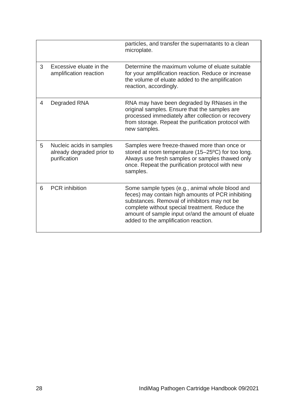|   |                                                                       | particles, and transfer the supernatants to a clean<br>microplate.                                                                                                                                                                                                                                   |
|---|-----------------------------------------------------------------------|------------------------------------------------------------------------------------------------------------------------------------------------------------------------------------------------------------------------------------------------------------------------------------------------------|
| 3 | Excessive eluate in the<br>amplification reaction                     | Determine the maximum volume of eluate suitable<br>for your amplification reaction. Reduce or increase<br>the volume of eluate added to the amplification<br>reaction, accordingly.                                                                                                                  |
| 4 | Degraded RNA                                                          | RNA may have been degraded by RNases in the<br>original samples. Ensure that the samples are<br>processed immediately after collection or recovery<br>from storage. Repeat the purification protocol with<br>new samples.                                                                            |
| 5 | Nucleic acids in samples<br>already degraded prior to<br>purification | Samples were freeze-thawed more than once or<br>stored at room temperature (15-25°C) for too long.<br>Always use fresh samples or samples thawed only<br>once. Repeat the purification protocol with new<br>samples.                                                                                 |
| 6 | <b>PCR</b> inhibition                                                 | Some sample types (e.g., animal whole blood and<br>feces) may contain high amounts of PCR inhibiting<br>substances. Removal of inhibitors may not be<br>complete without special treatment. Reduce the<br>amount of sample input or/and the amount of eluate<br>added to the amplification reaction. |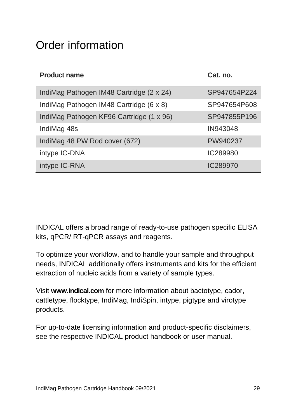# Order information

| <b>Product name</b>                      | Cat. no.     |
|------------------------------------------|--------------|
| IndiMag Pathogen IM48 Cartridge (2 x 24) | SP947654P224 |
| IndiMag Pathogen IM48 Cartridge (6 x 8)  | SP947654P608 |
| IndiMag Pathogen KF96 Cartridge (1 x 96) | SP947855P196 |
| IndiMag 48s                              | IN943048     |
| IndiMag 48 PW Rod cover (672)            | PW940237     |
| intype IC-DNA                            | IC289980     |
| intype IC-RNA                            | IC289970     |

INDICAL offers a broad range of ready-to-use pathogen specific ELISA kits, qPCR/ RT-qPCR assays and reagents.

To optimize your workflow, and to handle your sample and throughput needs, INDICAL additionally offers instruments and kits for the efficient extraction of nucleic acids from a variety of sample types.

Visit **www.indical.com** for more information about bactotype, cador, cattletype, flocktype, IndiMag, IndiSpin, intype, pigtype and virotype products.

For up-to-date licensing information and product-specific disclaimers, see the respective INDICAL product handbook or user manual.